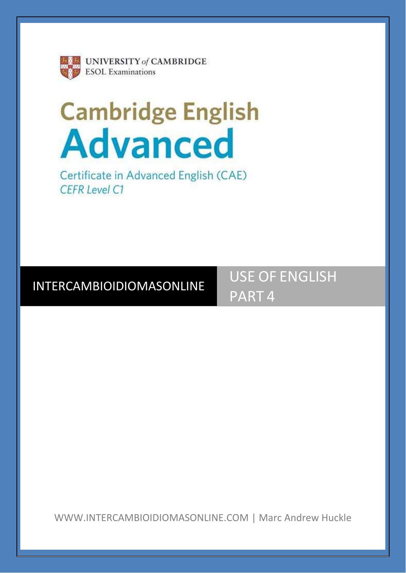

# **Cambridge English<br>Advanced**

Certificate in Advanced English (CAE) **CEFR Level C1** 

## INTERCAMBIOIDIOMASONLINE

USE OF ENGLISH PART 4

WWW.INTERCAMBIOIDIOMASONLINE.COM | Marc Andrew Huckle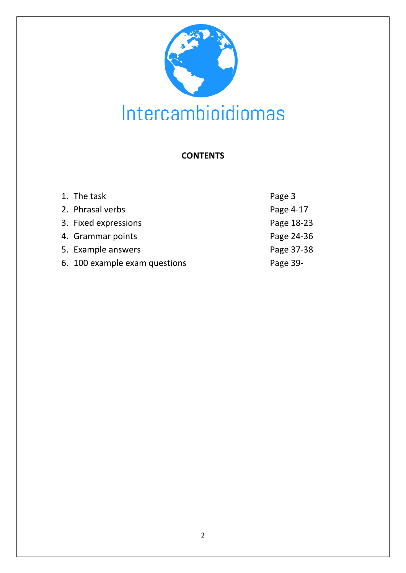

## **CONTENTS**

| 1. The task                   | Page 3     |
|-------------------------------|------------|
| 2. Phrasal verbs              | Page 4-17  |
| 3. Fixed expressions          | Page 18-23 |
| 4. Grammar points             | Page 24-36 |
| 5. Example answers            | Page 37-38 |
| 6. 100 example exam questions | Page 39-   |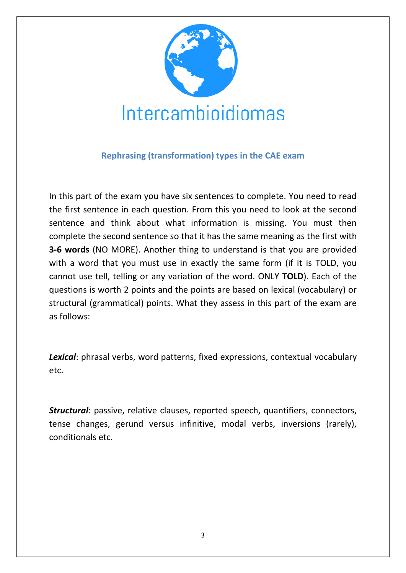

### **Rephrasing (transformation) types in the CAE exam**

In this part of the exam you have six sentences to complete. You need to read the first sentence in each question. From this you need to look at the second sentence and think about what information is missing. You must then complete the second sentence so that it has the same meaning as the first with **3-6 words** (NO MORE). Another thing to understand is that you are provided with a word that you must use in exactly the same form (if it is TOLD, you cannot use tell, telling or any variation of the word. ONLY **TOLD**). Each of the questions is worth 2 points and the points are based on lexical (vocabulary) or structural (grammatical) points. What they assess in this part of the exam are as follows:

*Lexical*: phrasal verbs, word patterns, fixed expressions, contextual vocabulary etc.

*Structural*: passive, relative clauses, reported speech, quantifiers, connectors, tense changes, gerund versus infinitive, modal verbs, inversions (rarely), conditionals etc.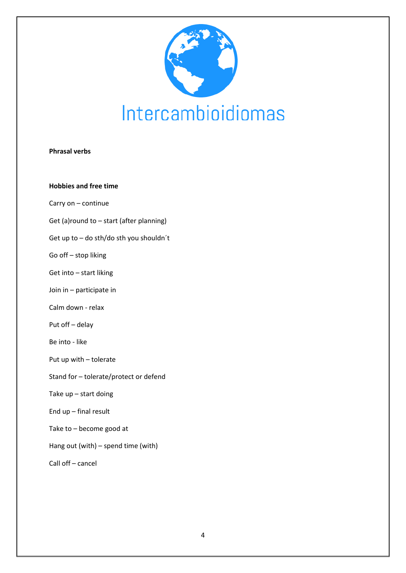

#### **Phrasal verbs**

**Hobbies and free time**

Carry on – continue

Get (a)round to – start (after planning)

Get up to – do sth/do sth you shouldn´t

Go off – stop liking

Get into – start liking

Join in – participate in

Calm down - relax

Put off – delay

Be into - like

Put up with – tolerate

Stand for – tolerate/protect or defend

Take up – start doing

End up – final result

Take to – become good at

Hang out (with) – spend time (with)

Call off – cancel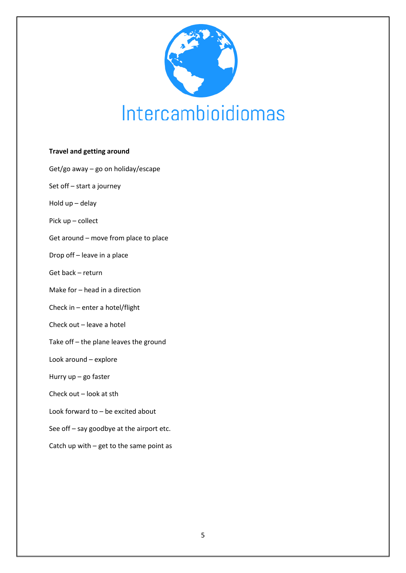

#### **Travel and getting around**

Get/go away – go on holiday/escape

Set off – start a journey

Hold up – delay

Pick up – collect

Get around – move from place to place

Drop off – leave in a place

Get back – return

Make for – head in a direction

Check in – enter a hotel/flight

Check out – leave a hotel

Take off – the plane leaves the ground

Look around – explore

Hurry up – go faster

Check out – look at sth

Look forward to – be excited about

See off – say goodbye at the airport etc.

Catch up with – get to the same point as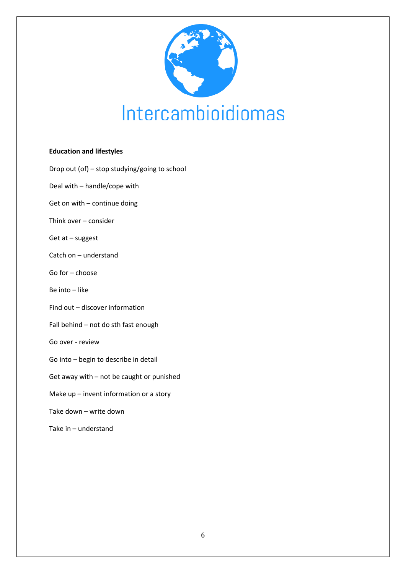

#### **Education and lifestyles**

Drop out (of) – stop studying/going to school

Deal with – handle/cope with

Get on with – continue doing

Think over – consider

Get at – suggest

Catch on – understand

Go for – choose

Be into – like

Find out – discover information

Fall behind – not do sth fast enough

Go over - review

Go into – begin to describe in detail

Get away with – not be caught or punished

Make up – invent information or a story

Take down – write down

Take in – understand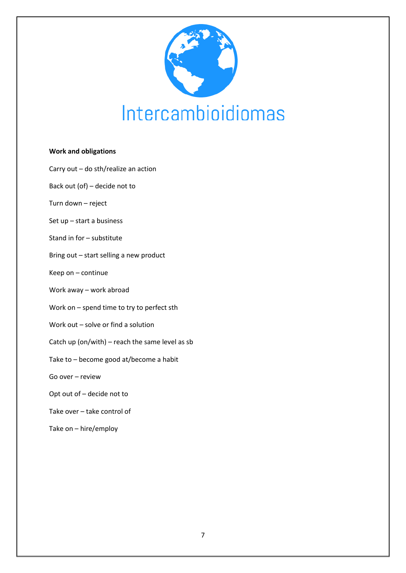

#### **Work and obligations**

- Carry out do sth/realize an action
- Back out (of) decide not to
- Turn down reject
- Set up start a business
- Stand in for substitute
- Bring out start selling a new product
- Keep on continue
- Work away work abroad
- Work on spend time to try to perfect sth
- Work out solve or find a solution
- Catch up (on/with) reach the same level as sb
- Take to become good at/become a habit
- Go over review
- Opt out of decide not to
- Take over take control of
- Take on hire/employ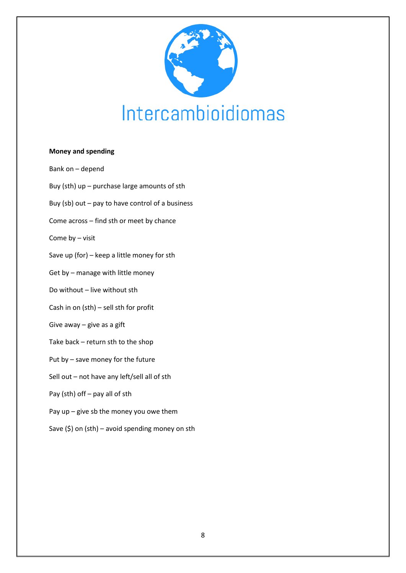

#### **Money and spending**

Bank on – depend Buy (sth) up – purchase large amounts of sth Buy (sb) out – pay to have control of a business Come across – find sth or meet by chance Come by – visit Save up (for) – keep a little money for sth Get by – manage with little money Do without – live without sth Cash in on (sth) – sell sth for profit Give away – give as a gift Take back – return sth to the shop Put by – save money for the future Sell out – not have any left/sell all of sth Pay (sth) off – pay all of sth Pay up – give sb the money you owe them Save  $(\xi)$  on (sth) – avoid spending money on sth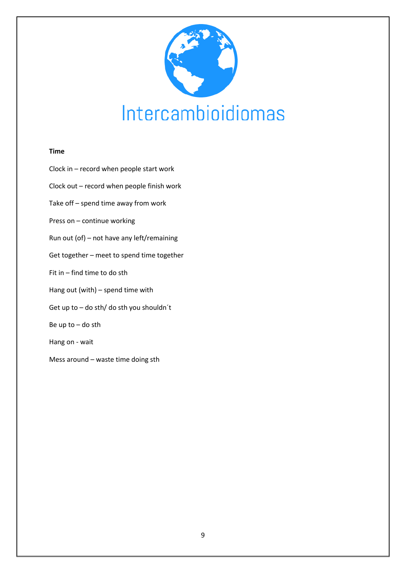

#### **Time**

Clock in – record when people start work Clock out – record when people finish work Take off – spend time away from work Press on – continue working Run out (of) – not have any left/remaining Get together – meet to spend time together Fit in – find time to do sth Hang out (with) – spend time with Get up to – do sth/ do sth you shouldn´t Be up to – do sth Hang on - wait Mess around – waste time doing sth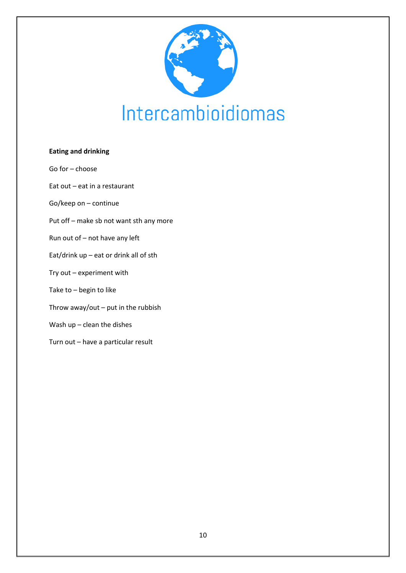

#### **Eating and drinking**

- Go for choose
- Eat out eat in a restaurant
- Go/keep on continue
- Put off make sb not want sth any more
- Run out of not have any left
- Eat/drink up eat or drink all of sth
- Try out experiment with
- Take to begin to like
- Throw away/out put in the rubbish
- Wash up clean the dishes
- Turn out have a particular result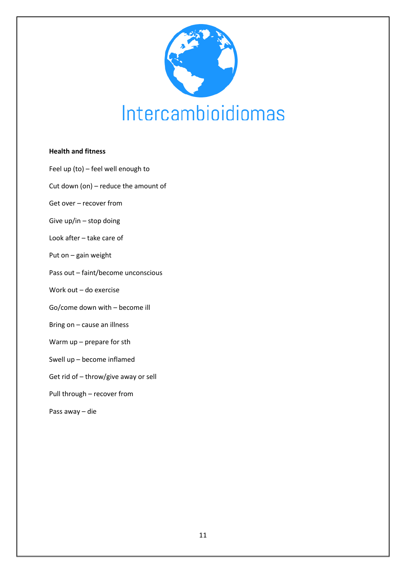

#### **Health and fitness**

- Feel up (to) feel well enough to
- Cut down (on) reduce the amount of
- Get over recover from
- Give up/in stop doing
- Look after take care of
- Put on gain weight
- Pass out faint/become unconscious
- Work out do exercise
- Go/come down with become ill
- Bring on cause an illness
- Warm up prepare for sth
- Swell up become inflamed
- Get rid of throw/give away or sell
- Pull through recover from
- Pass away die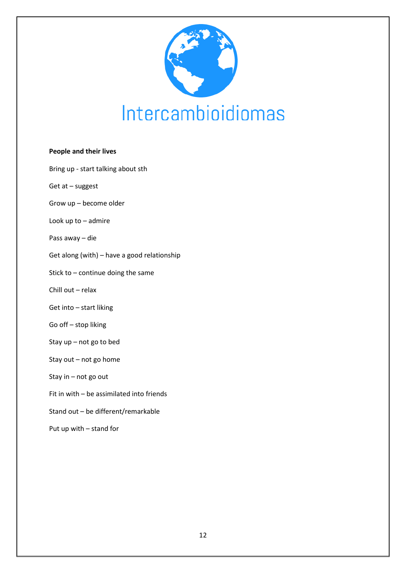

#### **People and their lives**

- Bring up start talking about sth
- Get at suggest
- Grow up become older
- Look up to admire
- Pass away die
- Get along (with) have a good relationship
- Stick to continue doing the same
- Chill out relax
- Get into start liking
- Go off stop liking
- Stay up not go to bed
- Stay out not go home
- Stay in not go out
- Fit in with be assimilated into friends
- Stand out be different/remarkable
- Put up with stand for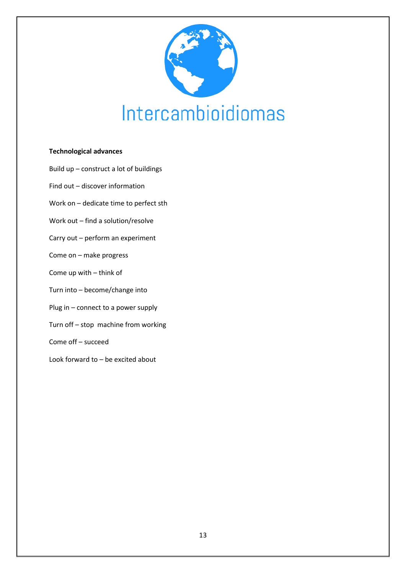

#### **Technological advances**

- Build up construct a lot of buildings
- Find out discover information
- Work on dedicate time to perfect sth
- Work out find a solution/resolve
- Carry out perform an experiment
- Come on make progress
- Come up with think of
- Turn into become/change into
- Plug in connect to a power supply
- Turn off stop machine from working
- Come off succeed
- Look forward to be excited about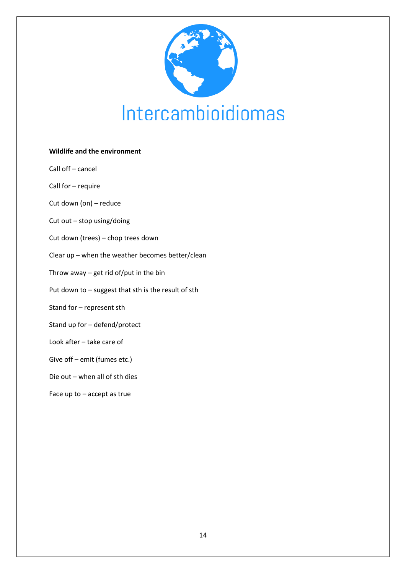

# **Wildlife and the environment** Call off – cancel Call for – require Cut down (on) – reduce Cut out – stop using/doing Cut down (trees) – chop trees down Clear up – when the weather becomes better/clean Throw away – get rid of/put in the bin Put down to – suggest that sth is the result of sth Stand for – represent sth Stand up for – defend/protect Look after – take care of Give off – emit (fumes etc.) Die out – when all of sth dies Face up to – accept as true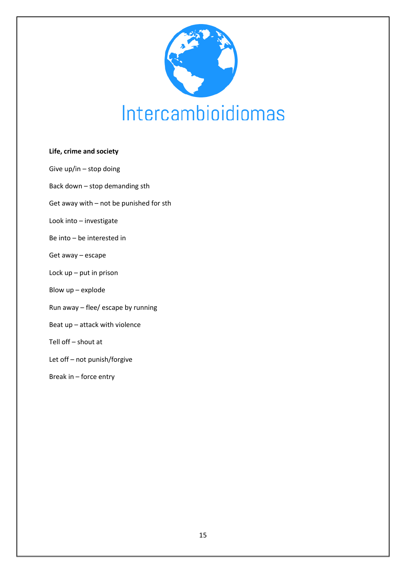

#### **Life, crime and society**

- Give up/in stop doing
- Back down stop demanding sth
- Get away with not be punished for sth
- Look into investigate
- Be into be interested in
- Get away escape
- Lock up put in prison
- Blow up explode
- Run away flee/ escape by running
- Beat up attack with violence
- Tell off shout at
- Let off not punish/forgive
- Break in force entry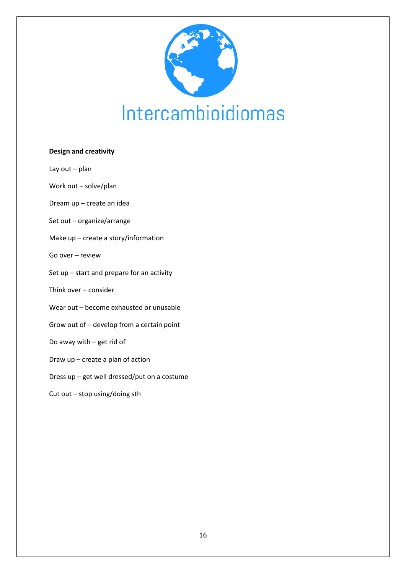

#### **Design and creativity**

Lay out – plan

Work out – solve/plan

Dream up – create an idea

- Set out organize/arrange
- Make up create a story/information
- Go over review
- Set up start and prepare for an activity
- Think over consider
- Wear out become exhausted or unusable
- Grow out of develop from a certain point
- Do away with get rid of
- Draw up create a plan of action
- Dress up get well dressed/put on a costume
- Cut out stop using/doing sth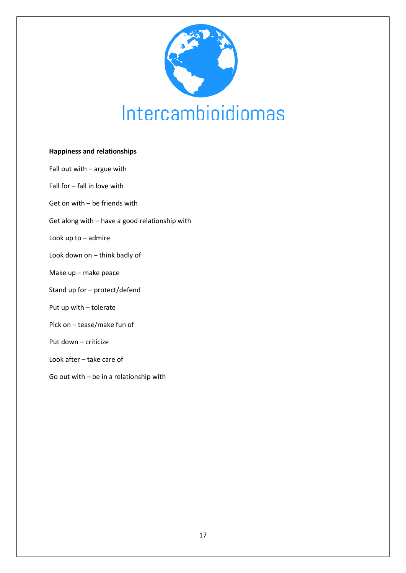

#### **Happiness and relationships**

Fall out with – argue with Fall for – fall in love with Get on with – be friends with Get along with – have a good relationship with Look up to – admire Look down on – think badly of Make up – make peace Stand up for – protect/defend Put up with – tolerate Pick on – tease/make fun of Put down – criticize Look after – take care of Go out with – be in a relationship with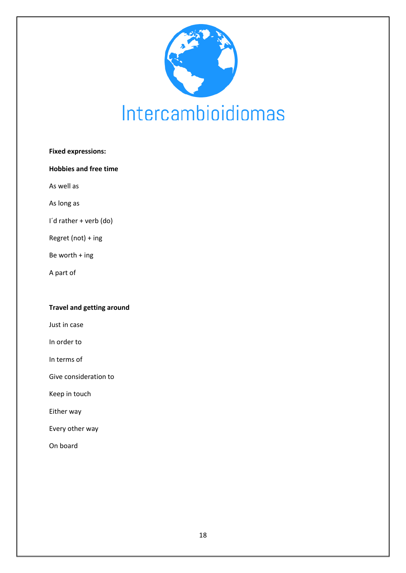

| <b>Fixed expressions:</b>    |  |
|------------------------------|--|
| <b>Hobbies and free time</b> |  |
| As well as                   |  |
| As long as                   |  |
| I'd rather + verb (do)       |  |
| Regret (not) + ing           |  |
| Be worth + ing               |  |
| A part of                    |  |
|                              |  |

#### **Travel and getting around**

Just in case

In order to

In terms of

Give consideration to

Keep in touch

Either way

Every other way

On board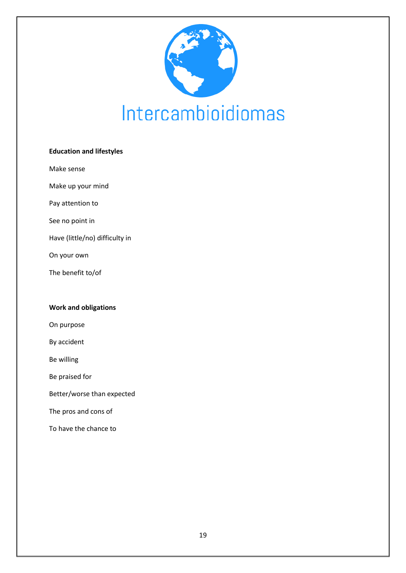

#### **Education and lifestyles**

Make sense

Make up your mind

Pay attention to

See no point in

Have (little/no) difficulty in

On your own

The benefit to/of

#### **Work and obligations**

On purpose

By accident

Be willing

Be praised for

Better/worse than expected

The pros and cons of

To have the chance to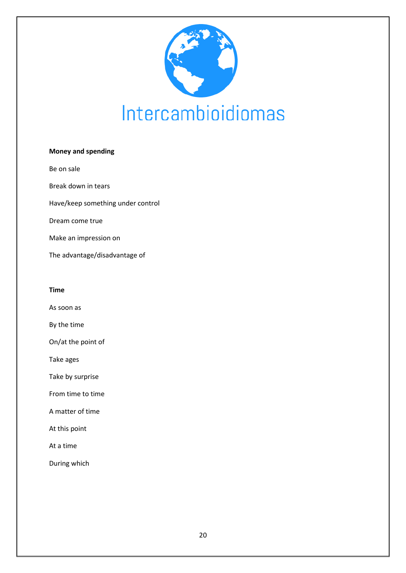

# **Money and spending** Be on sale Break down in tears Have/keep something under control Dream come true Make an impression on The advantage/disadvantage of

#### **Time**

As soon as

By the time

On/at the point of

Take ages

Take by surprise

From time to time

A matter of time

At this point

At a time

During which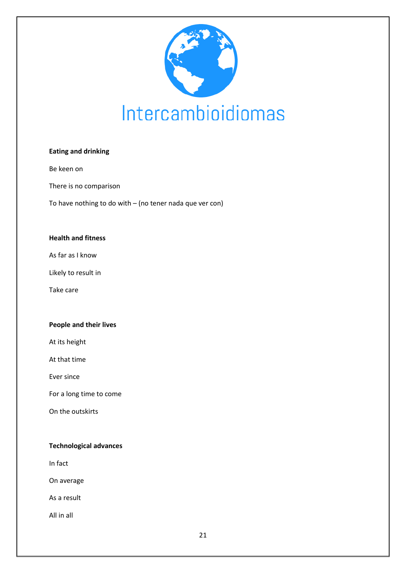

#### **Eating and drinking**

Be keen on

There is no comparison

To have nothing to do with – (no tener nada que ver con)

#### **Health and fitness**

As far as I know

Likely to result in

Take care

#### **People and their lives**

At its height

At that time

Ever since

For a long time to come

On the outskirts

#### **Technological advances**

In fact

On average

As a result

All in all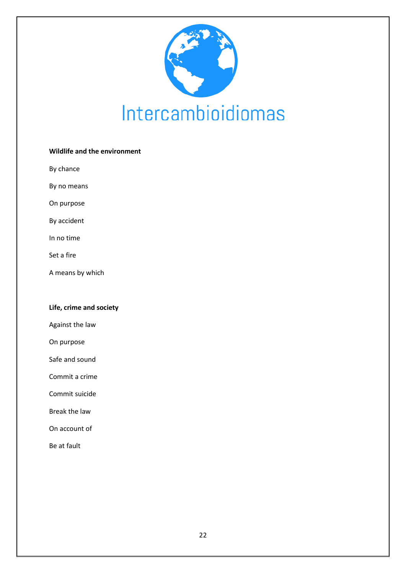

#### **Wildlife and the environment**

By chance

By no means

On purpose

By accident

In no time

Set a fire

A means by which

#### **Life, crime and society**

Against the law

On purpose

Safe and sound

Commit a crime

Commit suicide

Break the law

On account of

Be at fault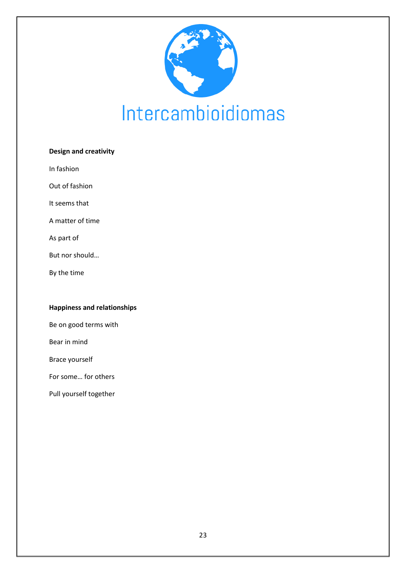

| <b>Design and creativity</b> |  |  |
|------------------------------|--|--|
| In fashion                   |  |  |
| Out of fashion               |  |  |
| It seems that                |  |  |
| A matter of time             |  |  |
| As part of                   |  |  |
| But nor should               |  |  |
| By the time                  |  |  |
|                              |  |  |
|                              |  |  |

#### **Happiness and relationships**

Be on good terms with

Bear in mind

Brace yourself

For some… for others

Pull yourself together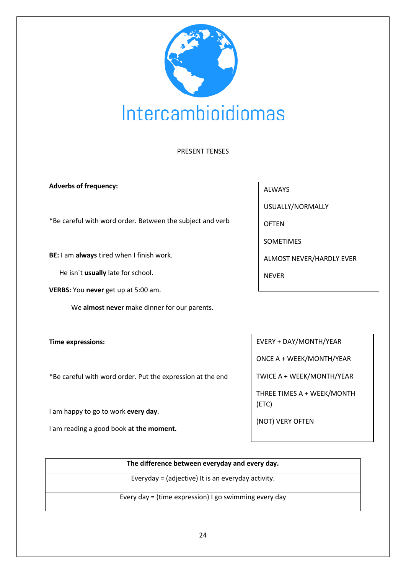

#### PRESENT TENSES

#### **Adverbs of frequency:**

\*Be careful with word order. Between the subject and verb

**BE:** I am **always** tired when I finish work.

He isn´t **usually** late for school.

**VERBS:** You **never** get up at 5:00 am.

We **almost never** make dinner for our parents.

**Time expressions:**

\*Be careful with word order. Put the expression at the end

I am happy to go to work **every day**.

I am reading a good book **at the moment.**

ALWAYS

USUALLY/NORMALLY

**OFTEN** 

SOMETIMES

ALMOST NEVER/HARDLY EVER

NEVER

EVERY + DAY/MONTH/YEAR

ONCE A + WEEK/MONTH/YEAR

TWICE A + WEEK/MONTH/YEAR

THREE TIMES A + WEEK/MONTH (ETC)

(NOT) VERY OFTEN

| The difference between everyday and every day.        |
|-------------------------------------------------------|
|                                                       |
| Everyday = (adjective) It is an everyday activity.    |
|                                                       |
| Every day = (time expression) I go swimming every day |
|                                                       |
|                                                       |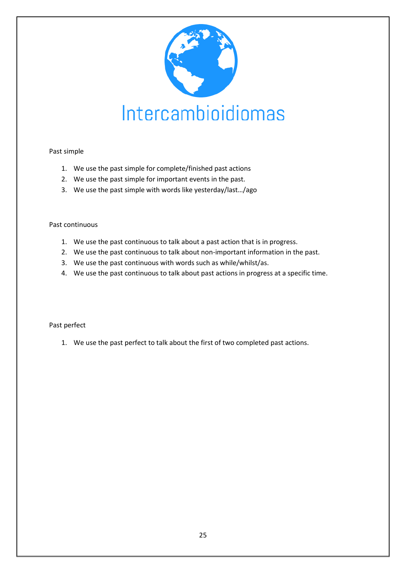

#### Past simple

- 1. We use the past simple for complete/finished past actions
- 2. We use the past simple for important events in the past.
- 3. We use the past simple with words like yesterday/last…/ago

#### Past continuous

- 1. We use the past continuous to talk about a past action that is in progress.
- 2. We use the past continuous to talk about non-important information in the past.
- 3. We use the past continuous with words such as while/whilst/as.
- 4. We use the past continuous to talk about past actions in progress at a specific time.

#### Past perfect

1. We use the past perfect to talk about the first of two completed past actions.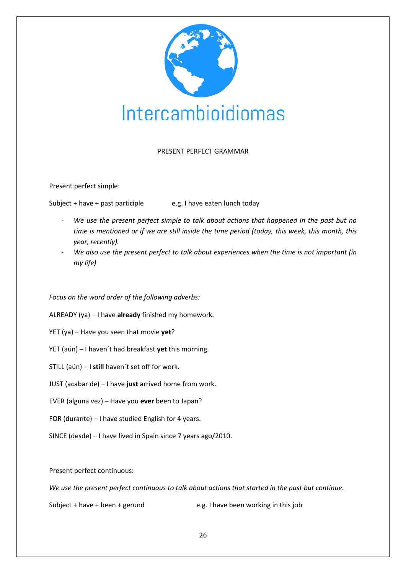

#### PRESENT PERFECT GRAMMAR

Present perfect simple:

Subject + have + past participle  $\qquad \qquad$  e.g. I have eaten lunch today

- We use the present perfect simple to talk about actions that happened in the past but no *time is mentioned or if we are still inside the time period (today, this week, this month, this year, recently).*
- We also use the present perfect to talk about experiences when the time is not important (in *my life)*

#### *Focus on the word order of the following adverbs:*

ALREADY (ya) – I have **already** finished my homework.

- YET (ya) Have you seen that movie **yet**?
- YET (aún) I haven´t had breakfast **yet** this morning.
- STILL (aún) I **still** haven´t set off for work.
- JUST (acabar de) I have **just** arrived home from work.
- EVER (alguna vez) Have you **ever** been to Japan?
- FOR (durante) I have studied English for 4 years.
- SINCE (desde) I have lived in Spain since 7 years ago/2010.

Present perfect continuous:

*We use the present perfect continuous to talk about actions that started in the past but continue.*

Subject + have + been + gerund e.g. I have been working in this job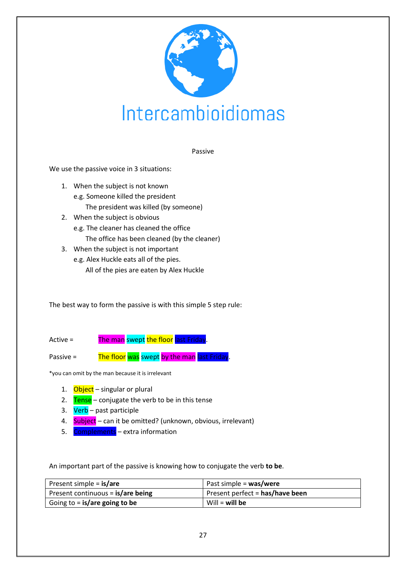

Passive

We use the passive voice in 3 situations:

- 1. When the subject is not known e.g. Someone killed the president The president was killed (by someone)
- 2. When the subject is obvious
	- e.g. The cleaner has cleaned the office The office has been cleaned (by the cleaner)
- 3. When the subject is not important
	- e.g. Alex Huckle eats all of the pies. All of the pies are eaten by Alex Huckle

The best way to form the passive is with this simple 5 step rule:

Active = The man swept the floor last Friday.

Passive = The floor was swept by the man last Friday.

\*you can omit by the man because it is irrelevant

- 1. Object singular or plural
- 2.  $Tense conjugate$  the verb to be in this tense
- 3. Verb past participle
- 4. Subject can it be omitted? (unknown, obvious, irrelevant)
- 5. Complements extra information

An important part of the passive is knowing how to conjugate the verb **to be**.

| Present simple = <b>is/are</b>      | Past simple = was/were          |
|-------------------------------------|---------------------------------|
| Present continuous = $is/are$ being | Present perfect = has/have been |
| Going to $=$ is/are going to be     | Will $=$ will be                |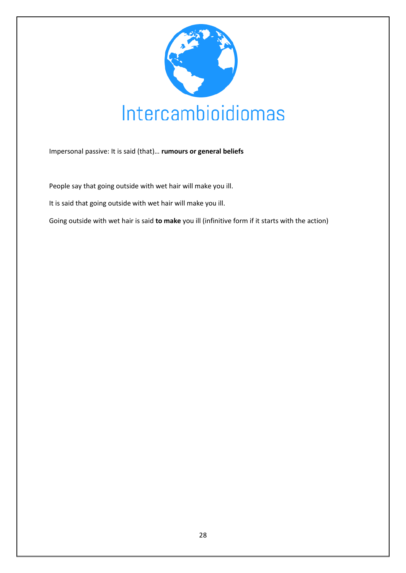

Impersonal passive: It is said (that)… **rumours or general beliefs**

People say that going outside with wet hair will make you ill.

It is said that going outside with wet hair will make you ill.

Going outside with wet hair is said **to make** you ill (infinitive form if it starts with the action)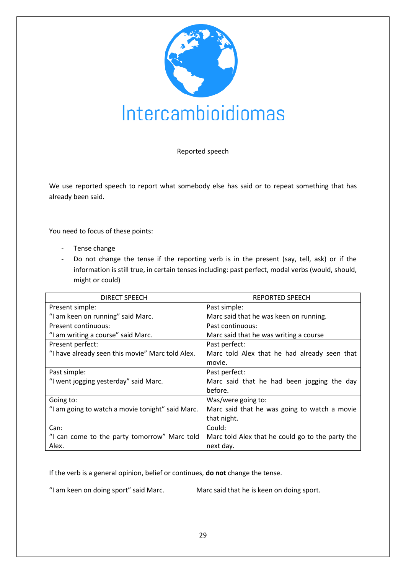

#### Reported speech

We use reported speech to report what somebody else has said or to repeat something that has already been said.

You need to focus of these points:

- Tense change
- Do not change the tense if the reporting verb is in the present (say, tell, ask) or if the information is still true, in certain tenses including: past perfect, modal verbs (would, should, might or could)

| DIRECT SPEECH                                    | <b>REPORTED SPEECH</b>                           |
|--------------------------------------------------|--------------------------------------------------|
| Present simple:                                  | Past simple:                                     |
| "I am keen on running" said Marc.                | Marc said that he was keen on running.           |
| Present continuous:                              | Past continuous:                                 |
| "I am writing a course" said Marc.               | Marc said that he was writing a course           |
| Present perfect:                                 | Past perfect:                                    |
| "I have already seen this movie" Marc told Alex. | Marc told Alex that he had already seen that     |
|                                                  | movie.                                           |
| Past simple:                                     | Past perfect:                                    |
| "I went jogging yesterday" said Marc.            | Marc said that he had been jogging the day       |
|                                                  | before.                                          |
| Going to:                                        | Was/were going to:                               |
| "I am going to watch a movie tonight" said Marc. | Marc said that he was going to watch a movie     |
|                                                  | that night.                                      |
| Can:                                             | Could:                                           |
| "I can come to the party tomorrow" Marc told     | Marc told Alex that he could go to the party the |
| Alex.                                            | next day.                                        |

If the verb is a general opinion, belief or continues, **do not** change the tense.

"I am keen on doing sport" said Marc. Marc said that he is keen on doing sport.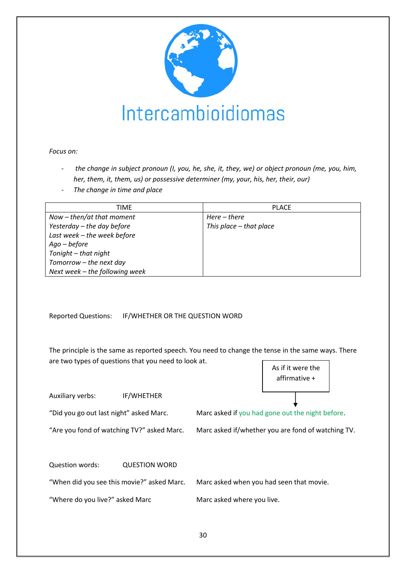

#### *Focus on:*

- *the change in subject pronoun (I, you, he, she, it, they, we) or object pronoun (me, you, him, her, them, it, them, us) or possessive determiner (my, your, his, her, their, our)*
- *The change in time and place*

| TIME                           | <b>PLACE</b>              |
|--------------------------------|---------------------------|
| Now $-$ then/at that moment    | Here – there              |
| Yesterday – the day before     | This place $-$ that place |
| Last week - the week before    |                           |
| $Aqo - before$                 |                           |
| Tonight - that night           |                           |
| Tomorrow - the next day        |                           |
| Next week - the following week |                           |

Reported Questions: IF/WHETHER OR THE QUESTION WORD

The principle is the same as reported speech. You need to change the tense in the same ways. There are two types of questions that you need to look at. As if it were the

Auxiliary verbs: IF/WHETHER

"Did you go out last night" asked Marc. Marc asked if you had gone out the night before.

"Are you fond of watching TV?" asked Marc. Marc asked if/whether you are fond of watching TV.

affirmative +

Question words: QUESTION WORD

"When did you see this movie?" asked Marc. Marc asked when you had seen that movie.

"Where do you live?" asked Marc Marc Marc asked where you live.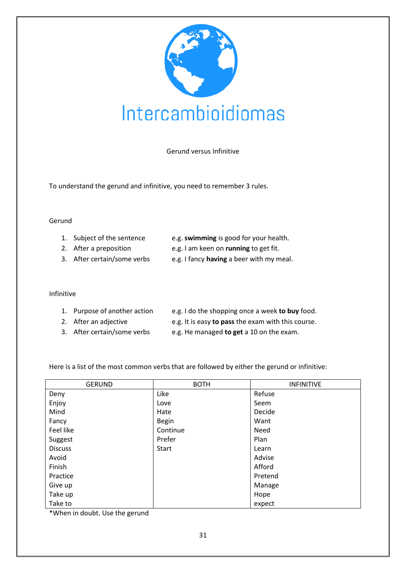

Gerund versus Infinitive

To understand the gerund and infinitive, you need to remember 3 rules.

#### Gerund

| 1. Subject of the sentence | e.g. swimming is good for your health. |
|----------------------------|----------------------------------------|
|----------------------------|----------------------------------------|

- 2. After a preposition e.g. I am keen on **running** to get fit.
- 3. After certain/some verbs e.g. I fancy **having** a beer with my meal.

#### Infinitive

- 1. Purpose of another action e.g. I do the shopping once a week **to buy** food.
- 
- 
- 2. After an adjective **EXACTE:** e.g. It is easy **to pass** the exam with this course.
- 3. After certain/some verbs e.g. He managed **to get** a 10 on the exam.

Here is a list of the most common verbs that are followed by either the gerund or infinitive:

| <b>GERUND</b>  | <b>BOTH</b>  | <b>INFINITIVE</b> |
|----------------|--------------|-------------------|
| Deny           | Like         | Refuse            |
| Enjoy          | Love         | Seem              |
| Mind           | Hate         | Decide            |
| Fancy          | <b>Begin</b> | Want              |
| Feel like      | Continue     | Need              |
| Suggest        | Prefer       | Plan              |
| <b>Discuss</b> | <b>Start</b> | Learn             |
| Avoid          |              | Advise            |
| Finish         |              | Afford            |
| Practice       |              | Pretend           |
| Give up        |              | Manage            |
| Take up        |              | Hope              |
| Take to        |              | expect            |

\*When in doubt. Use the gerund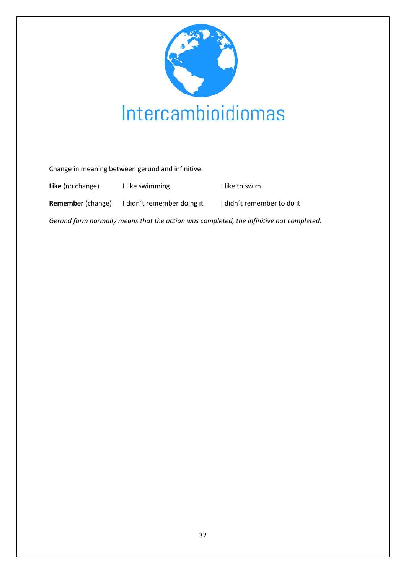

Change in meaning between gerund and infinitive:

| Like (no change)                                                                        | I like swimming            | I like to swim             |
|-----------------------------------------------------------------------------------------|----------------------------|----------------------------|
| <b>Remember</b> (change)                                                                | I didn't remember doing it | I didn't remember to do it |
| Gerund form normally means that the action was completed, the infinitive not completed. |                            |                            |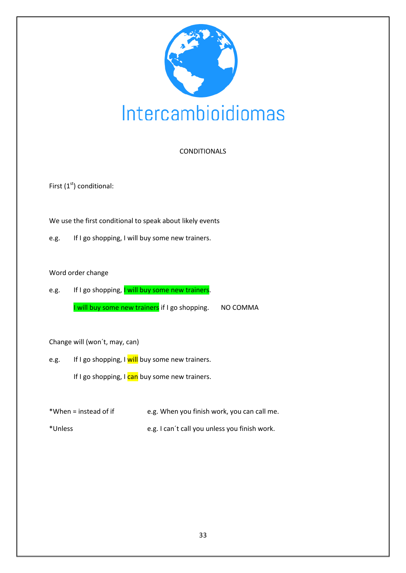

#### CONDITIONALS

First  $(1<sup>st</sup>)$  conditional:

We use the first conditional to speak about likely events

e.g. If I go shopping, I will buy some new trainers.

#### Word order change

e.g. If I go shopping, I will buy some new trainers. I will buy some new trainers if I go shopping. NO COMMA

Change will (won´t, may, can)

e.g. If I go shopping, I will buy some new trainers.

If I go shopping, I can buy some new trainers.

- \*When = instead of if e.g. When you finish work, you can call me.
- \*Unless e.g. I can´t call you unless you finish work.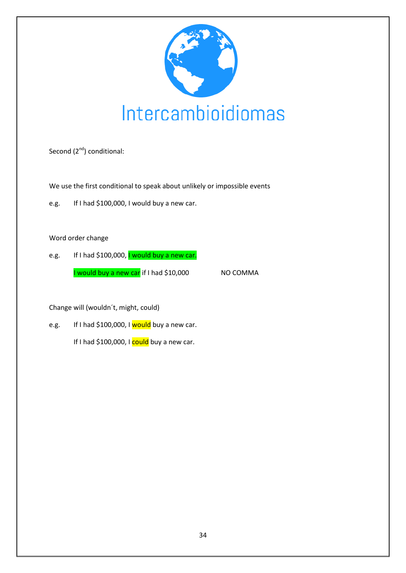

Second (2<sup>nd</sup>) conditional:

We use the first conditional to speak about unlikely or impossible events

e.g. If I had \$100,000, I would buy a new car.

Word order change

e.g. If I had \$100,000, **I** would buy a new car. I would buy a new car if I had \$10,000 NO COMMA

Change will (wouldn´t, might, could)

e.g. If I had \$100,000, I would buy a new car. If I had \$100,000, I could buy a new car.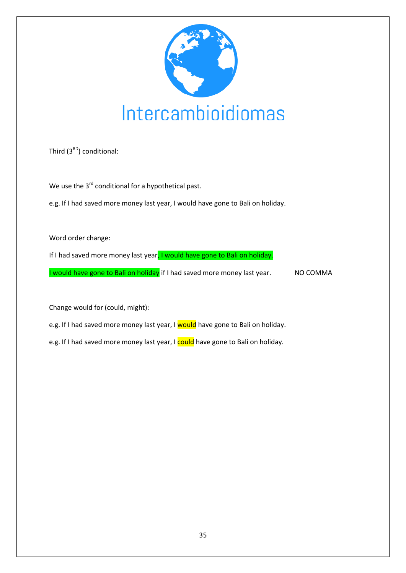

Third  $(3^{RD})$  conditional:

We use the 3<sup>rd</sup> conditional for a hypothetical past.

e.g. If I had saved more money last year, I would have gone to Bali on holiday.

Word order change:

If I had saved more money last year, I would have gone to Bali on holiday.

I would have gone to Bali on holiday if I had saved more money last year. NO COMMA

Change would for (could, might):

e.g. If I had saved more money last year, I would have gone to Bali on holiday.

e.g. If I had saved more money last year, I could have gone to Bali on holiday.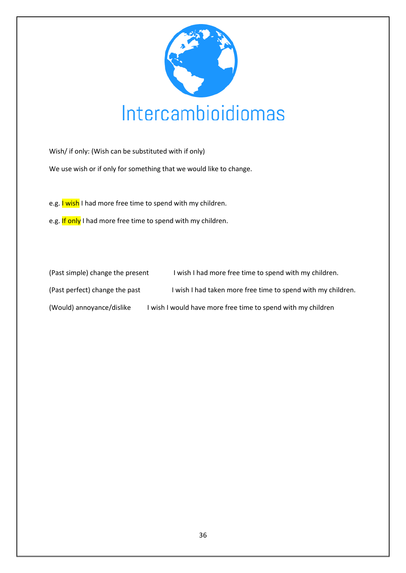

Wish/ if only: (Wish can be substituted with if only)

We use wish or if only for something that we would like to change.

e.g. I wish I had more free time to spend with my children.

e.g. If only I had more free time to spend with my children.

| (Past simple) change the present | I wish I had more free time to spend with my children.       |  |
|----------------------------------|--------------------------------------------------------------|--|
| (Past perfect) change the past   | I wish I had taken more free time to spend with my children. |  |
| (Would) annoyance/dislike        | I wish I would have more free time to spend with my children |  |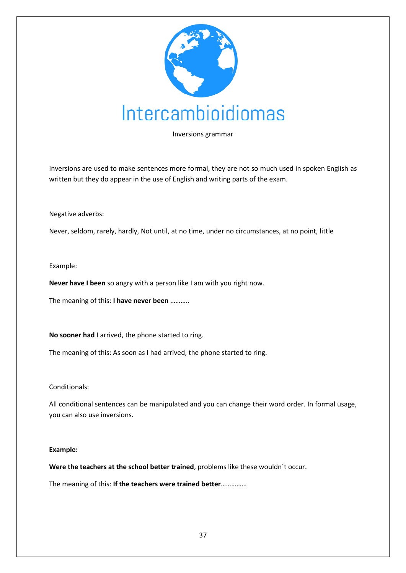

Inversions grammar

Inversions are used to make sentences more formal, they are not so much used in spoken English as written but they do appear in the use of English and writing parts of the exam.

#### Negative adverbs:

Never, seldom, rarely, hardly, Not until, at no time, under no circumstances, at no point, little

#### Example:

**Never have I been** so angry with a person like I am with you right now.

The meaning of this: **I have never been** ………..

**No sooner had** I arrived, the phone started to ring.

The meaning of this: As soon as I had arrived, the phone started to ring.

#### Conditionals:

All conditional sentences can be manipulated and you can change their word order. In formal usage, you can also use inversions.

#### **Example:**

**Were the teachers at the school better trained**, problems like these wouldn´t occur.

The meaning of this: **If the teachers were trained better**……………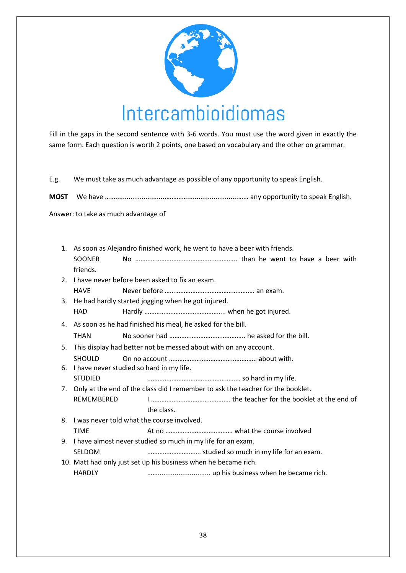

Fill in the gaps in the second sentence with 3-6 words. You must use the word given in exactly the same form. Each question is worth 2 points, one based on vocabulary and the other on grammar.

E.g. We must take as much advantage as possible of any opportunity to speak English.

**MOST** We have ……...........................…………...........................…… any opportunity to speak English.

Answer: to take as much advantage of

| 1. As soon as Alejandro finished work, he went to have a beer with friends. |                                                                                    |                                                                 |  |
|-----------------------------------------------------------------------------|------------------------------------------------------------------------------------|-----------------------------------------------------------------|--|
|                                                                             | SOONER                                                                             |                                                                 |  |
|                                                                             | friends.                                                                           |                                                                 |  |
|                                                                             | 2. I have never before been asked to fix an exam.                                  |                                                                 |  |
|                                                                             | <b>HAVE</b>                                                                        |                                                                 |  |
|                                                                             | 3. He had hardly started jogging when he got injured.                              |                                                                 |  |
|                                                                             | HAD                                                                                |                                                                 |  |
| 4. As soon as he had finished his meal, he asked for the bill.              |                                                                                    |                                                                 |  |
|                                                                             | <b>THAN</b>                                                                        |                                                                 |  |
|                                                                             | 5. This display had better not be messed about with on any account.                |                                                                 |  |
|                                                                             | <b>SHOULD</b>                                                                      |                                                                 |  |
| 6. I have never studied so hard in my life.                                 |                                                                                    |                                                                 |  |
|                                                                             | <b>STUDIED</b>                                                                     |                                                                 |  |
|                                                                             | 7. Only at the end of the class did I remember to ask the teacher for the booklet. |                                                                 |  |
|                                                                             | REMEMBERED                                                                         |                                                                 |  |
|                                                                             |                                                                                    | the class.                                                      |  |
|                                                                             | 8. I was never told what the course involved.                                      |                                                                 |  |
|                                                                             | <b>TIME</b>                                                                        |                                                                 |  |
|                                                                             | 9. I have almost never studied so much in my life for an exam.                     |                                                                 |  |
|                                                                             | SELDOM                                                                             | studied so much in my life for an exam.                         |  |
|                                                                             |                                                                                    | 10. Matt had only just set up his business when he became rich. |  |
|                                                                             | <b>HARDLY</b>                                                                      |                                                                 |  |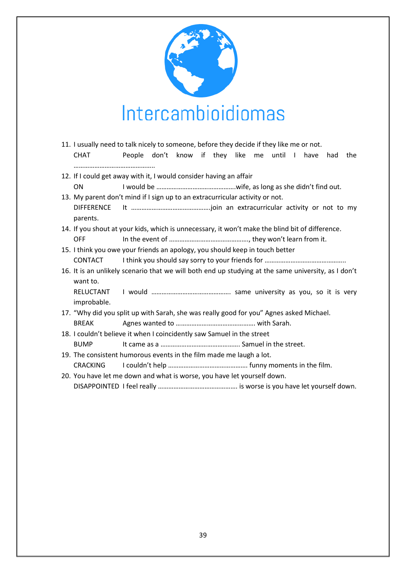

- 11. I usually need to talk nicely to someone, before they decide if they like me or not. CHAT People don't know if they like me until I have had the ………………………………………..
- 12. If I could get away with it, I would consider having an affair ON I would be ……………………………………….wife, as long as she didn't find out.
- 13. My parent don't mind if I sign up to an extracurricular activity or not. DIFFERENCE It ……………………………………….join an extracurricular activity or not to my parents.
- 14. If you shout at your kids, which is unnecessary, it won't make the blind bit of difference. OFF In the event of ………………………………………., they won't learn from it.
- 15. I think you owe your friends an apology, you should keep in touch better CONTACT I think you should say sorry to your friends for ………………………………………..
- 16. It is an unlikely scenario that we will both end up studying at the same university, as I don't want to.
- RELUCTANT I would ………………………………………. same university as you, so it is very improbable.
- 17. "Why did you split up with Sarah, she was really good for you" Agnes asked Michael.
- BREAK Agnes wanted to ………………………………………. with Sarah.
- 18. I couldn't believe it when I coincidently saw Samuel in the street BUMP It came as a ………………………………………………………………… Samuel in the street.
- 19. The consistent humorous events in the film made me laugh a lot.
	- CRACKING I couldn't help ………………………………………. funny moments in the film.
- 20. You have let me down and what is worse, you have let yourself down.

DISAPPOINTED I feel really ………………………………………. is worse is you have let yourself down.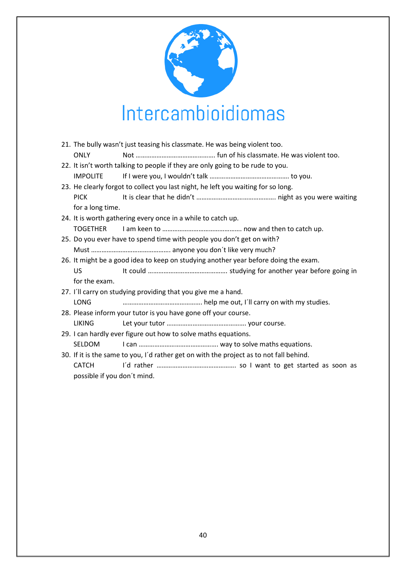

|  |                                                                                         | 21. The bully wasn't just teasing his classmate. He was being violent too. |                                                                                     |  |
|--|-----------------------------------------------------------------------------------------|----------------------------------------------------------------------------|-------------------------------------------------------------------------------------|--|
|  | <b>ONLY</b>                                                                             |                                                                            |                                                                                     |  |
|  | 22. It isn't worth talking to people if they are only going to be rude to you.          |                                                                            |                                                                                     |  |
|  | <b>IMPOLITE</b>                                                                         |                                                                            |                                                                                     |  |
|  | 23. He clearly forgot to collect you last night, he left you waiting for so long.       |                                                                            |                                                                                     |  |
|  | <b>PICK</b>                                                                             |                                                                            |                                                                                     |  |
|  | for a long time.                                                                        |                                                                            |                                                                                     |  |
|  | 24. It is worth gathering every once in a while to catch up.                            |                                                                            |                                                                                     |  |
|  | <b>TOGETHER</b>                                                                         |                                                                            |                                                                                     |  |
|  | 25. Do you ever have to spend time with people you don't get on with?                   |                                                                            |                                                                                     |  |
|  |                                                                                         |                                                                            |                                                                                     |  |
|  |                                                                                         |                                                                            | 26. It might be a good idea to keep on studying another year before doing the exam. |  |
|  | <b>US</b>                                                                               |                                                                            |                                                                                     |  |
|  | for the exam.                                                                           |                                                                            |                                                                                     |  |
|  | 27. I'll carry on studying providing that you give me a hand.                           |                                                                            |                                                                                     |  |
|  | <b>LONG</b>                                                                             |                                                                            |                                                                                     |  |
|  | 28. Please inform your tutor is you have gone off your course.                          |                                                                            |                                                                                     |  |
|  | <b>LIKING</b>                                                                           |                                                                            |                                                                                     |  |
|  | 29. I can hardly ever figure out how to solve maths equations.                          |                                                                            |                                                                                     |  |
|  | <b>SELDOM</b>                                                                           |                                                                            |                                                                                     |  |
|  | 30. If it is the same to you, I'd rather get on with the project as to not fall behind. |                                                                            |                                                                                     |  |
|  | <b>CATCH</b>                                                                            |                                                                            |                                                                                     |  |
|  | possible if you don't mind.                                                             |                                                                            |                                                                                     |  |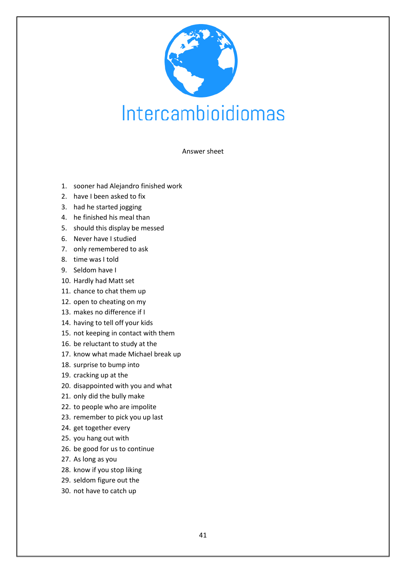

#### Answer sheet

- 1. sooner had Alejandro finished work
- 2. have I been asked to fix
- 3. had he started jogging
- 4. he finished his meal than
- 5. should this display be messed
- 6. Never have I studied
- 7. only remembered to ask
- 8. time was I told
- 9. Seldom have I
- 10. Hardly had Matt set
- 11. chance to chat them up
- 12. open to cheating on my
- 13. makes no difference if I
- 14. having to tell off your kids
- 15. not keeping in contact with them
- 16. be reluctant to study at the
- 17. know what made Michael break up
- 18. surprise to bump into
- 19. cracking up at the
- 20. disappointed with you and what
- 21. only did the bully make
- 22. to people who are impolite
- 23. remember to pick you up last
- 24. get together every
- 25. you hang out with
- 26. be good for us to continue
- 27. As long as you
- 28. know if you stop liking
- 29. seldom figure out the
- 30. not have to catch up